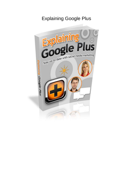# Explaining Google Plus

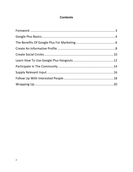#### **Contents**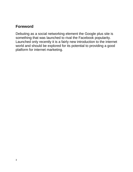# <span id="page-2-0"></span>**Foreword**

Debuting as a social networking element the Google plus site is something that was launched to rival the Facebook popularity. Launched only recently it is a fairly new introduction to the internet world and should be explored for its potential to providing a good platform for internet marketing.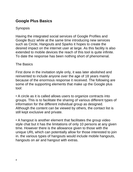# <span id="page-3-0"></span>**Google Plus Basics**

#### Synopsis

Having the integrated social services of Google Profiles and Google Buzz while at the same time introducing new services such as Circle, Hangouts and Sparks it hopes to create the desired impact on the internet user at large. As this facility is also extended to mobile devices the reach of this tool is quite infinite. To date the response has been nothing short of phenomenal.

#### The Basics

First done in the invitation style only, it was later abolished and reinvented to include anyone over the age of 18 years mainly because of the enormous response it received. The following are some of the supporting elements that make up the Google plus tool:

• A circle as it is called allows users to organize contracts into groups. This is to facilitate the sharing of various different types of information for the different individual group as designed. Although the content can be viewed by others, the contact list is still kept exclusive and private.

• A hangout is another element that facilitates the group video style chat but it has the limitations of only 10 persons at any given time. However there is the allowance given to those with the unique URL which can potentially allow for those interested to join in. the various types of hangouts would include mobile hangouts, hangouts on air and hangout with extras.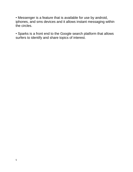• Messenger is a feature that is available for use by android, iphones, and sms devices and it allows instant messaging within the circles.

• Sparks is a front end to the Google search platform that allows surfers to identify and share topics of interest.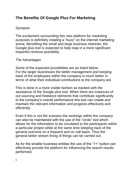# <span id="page-5-0"></span>**The Benefits Of Google Plus For Marketing**

### Synopsis

The excitement surrounding this new platform for marketing purposes is definitely creating a "buzz" on the internet marketing arena. Benefiting the small and large business interests, the Google plus tool is expected to help reap in a more significant impactful revenue possibility.

### The Advantages

Some of the expected possibilities are as listed below: For the larger businesses the better management and keeping track of the employees within the company is much better in terms of what their individual contributions to the company are.

This is done in a more visible fashion as tracked with the assistance of the Google plus tool. When there are instances of out sourcing and freelance elements that contribute significantly to the company's overall performance this tool can create and maintain the relevant information and progress effectively and efficiently.

Even if this is not the scenario the workings within the company can also be maintained with the use of the "circle" tool which allows for the information to be circulated to the participants within a particular project while at the same time keeping track of the general outcome on a frequent and on call basis. Thus the general better stream lining of things can be carried out.

As for the smaller business entities the use of the "1+" button can effectively provide the platform for influencing the search results performed.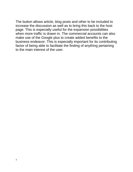The button allows article, blog posts and other to be included to increase the discussion as well as to bring this back to the host page. This is especially useful for the expansion possibilities when more traffic is drawn in. The commercial accounts can also make use of the Google plus to create added benefits to the business endeavor. This is especially important for its contributing factor of being able to facilitate the finding of anything pertaining to the main interest of the user.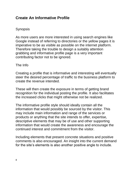# <span id="page-7-0"></span>**Create An Informative Profile**

### Synopsis

As more users are more interested in using search engines like Google instead of referring to directories or the yellow pages it is imperative to be as visible as possible on the internet platform. Therefore taking the trouble to design a suitably attention grabbing and informative profile page is a very important contributing factor not to be ignored.

#### The Info

Creating a profile that is informative and interesting will eventually steer the desired percentage of traffic to the business platform to create the revenue intended.

These will then create the exposure in terms of getting brand recognition for the individual posting the profile. It also facilitates the increased clicks that might otherwise not be realized.

The informative profile style should ideally contain all the information that would possibly be sourced by the visitor. This may include main information and range of the services or products or anything that the site intends to offer, expertise, descriptive elements that may be of use and other supporting information that would create the awareness and encourage the continued interest and commitment from the visitor.

Including elements that present concrete situations and positive comments is also encouraged. An insight into the current demand for the site's elements is also another positive angle to include.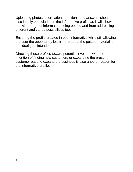Uploading photos, information, questions and answers should also ideally be included in the informative profile as it will show the wide range of information being posted and from addressing different and varied possibilities too.

Ensuring the profile created in both informative while still allowing the user the opportunity learn more about the posted material is the ideal goal intended.

Directing these profiles toward potential investors with the intention of finding new customers or expanding the present customer base to expand the business is also another reason for the informative profile.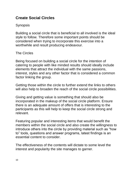# <span id="page-9-0"></span>**Create Social Circles**

## Synopsis

Building a social circle that is beneficial to all involved is the ideal style to follow. Therefore some important points should be considered when trying to incorporate this exercise into a worthwhile and result producing endeavour.

### The Circles

Being focused on building a social circle for the intention of catering to people with like minded results should ideally include elements that attract the individual with the same passions, interest, styles and any other factor that is considered a common factor linking the group.

Getting those within the circle to further extend the links to others will also help to broaden the reach of the social circle possibilities.

Giving and getting value is something that should also be incorporated in the makeup of the social circle platform. Ensure there is an adequate amount of offers that is interesting to the participants as this will help to keep the social circle strong and relevant.

Featuring popular and interesting items that would benefit the members within the social circle and also create the willingness to introduce others into the circle by providing material such as "how to" tools, questions and answer programs, latest findings is an essential content to consider.

The effectiveness of the contents will dictate to some level the interest and popularity the site manages to garner.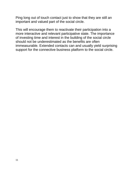Ping long out of touch contact just to show that they are still an important and valued part of the social circle.

This will encourage them to reactivate their participation into a more interactive and relevant participative state. The importance of investing time and interest in the building of the social circle should not be underestimated as the benefits are often immeasurable. Extended contacts can and usually yield surprising support for the connective business platform to the social circle.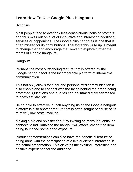# <span id="page-11-0"></span>**Learn How To Use Google Plus Hangouts**

### Synopsis

Most people tend to overlook less conspicuous icons or prompts and thus miss out on a lot of innovative and interesting additional services or happenings. The Google plus hangouts is one that is often missed for its contributions. Therefore this write up is meant to change that and encourage the viewer to explore further the merits of Google hangouts.

#### **Hangouts**

Perhaps the most outstanding feature that is offered by the Google hangout tool is the incomparable platform of interactive communication.

This not only allows for clear and personalized communication it also enable one to connect with the faces behind the brand being promoted. Questions and queries can be immediately addressed to one's satisfaction.

Being able to effective launch anything using the Google hangout platform is also another feature that is often sought because of its relatively low costs involved.

Making a big and splashy debut by inviting as many influential or connective individuals to the hangout will effectively get the item being launched some good exposure.

Product demonstrations can also have the beneficial feature of being done with the participation of a live audience interacting in the actual presentation. This elevates the exciting, interesting and positive experience for the audience.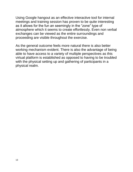Using Google hangout as an effective interactive tool for internal meetings and training session has proven to be quite interesting as it allows for the fun an seemingly in the "zone" type of atmosphere which it seems to create effortlessly. Even non verbal exchanges can be viewed as the entire surroundings and proceeding are visible throughout the exercise.

As the general outcome feels more natural there is also better working mechanism evident. There is also the advantage of being able to have access to a variety of multiple perspectives as this virtual platform is established as opposed to having to be troubled with the physical setting up and gathering of participants in a physical realm.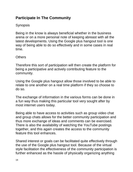# <span id="page-13-0"></span>**Participate In The Community**

# Synopsis

Being in the know is always beneficial whether in the business arena or on a more personal note of keeping abreast with all the latest developments. Using the Google plus hangout tool is one way of being able to do so effectively and in some cases in real time.

### **Others**

Therefore this sort of participation will then create the platform for being a participative and actively contributing feature to the community.

Using the Google plus hangout allow those involved to be able to relate to one another on a real time platform if they so choose to do so.

The exchange of information in the various forms can be done in a fun way thus making this particular tool very sought after by most internet users today.

Being able to have access to activities such as group video chat and group chats allows for the better community participation and thus more exchange of ideas and comments can be exercised. There is also the availability of watching the YouTube postings together, and this again creates the access to the community feature this tool enhances.

Shared interest or goals can be facilitated quite effectively through the use of the Google plus hangout tool. Because of the virtual style facilitation the effectiveness of the community participation is further enhanced as the hassle of physically organizing anything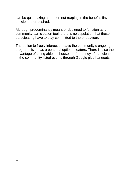can be quite taxing and often not reaping in the benefits first anticipated or desired.

Although predominantly meant or designed to function as a community participation tool, there is no stipulation that those participating have to stay committed to the endeavour.

The option to freely interact or leave the community's ongoing programs is left as a personal optional feature. There is also the advantage of being able to choose the frequency of participation in the community listed events through Google plus hangouts.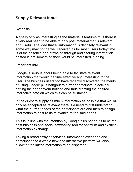# <span id="page-15-0"></span>**Supply Relevant Input**

### Synopsis

A site is only as interesting as the material it features thus there is a very real need to be able to only post material that is relevant and useful. The idea that all information is definitely relevant in some way may not be well received as for most users today time is of the essence and browsing through and filtering information posted is not something they would be interested in doing.

#### Important Info

Google is serious about being able to facilitate relevant information that would be time effective and interesting to the user. The business users too have recently discovered the merits of using Google plus hangout to further participate in actively getting their endeavour noticed and thus creating the desired interactive note on which this can be sustained.

In the quest to supply as much information as possible that would only be accepted as relevant there is a need to first understand what the current needs of the participants are and then to design information to ensure its relevance to the said needs.

This is in line with the intention by Google plus hangouts to be the best business and social networking tool for optimum and exciting information exchange.

Taking a broad array of services, information exchange and participation to a whole new and interactive platform will also allow for the latest information to be dispersed.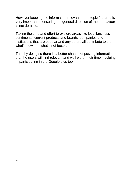However keeping the information relevant to the topic featured is very important in ensuring the general direction of the endeavour is not derailed.

Taking the time and effort to explore areas like local business sentiments, current products and brands, companies and institutions that are popular and any others all contribute to the what's new and what's not factor.

Thus by doing so there is a better chance of posting information that the users will find relevant and well worth their time indulging in participating in the Google plus tool.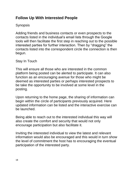# <span id="page-17-0"></span>**Follow Up With Interested People**

# **Synopsis**

Adding friends and business contacts or even prospects to the contacts listed in the individual's email lists through the Google tools will then facilitate the first step in reaching out to the possible interested parties for further interaction. Then by "dragging" the contacts listed into the correspondent circle the connection is then begun.

#### Stay In Touch

This will ensure all those who are interested in the common platform being posted can be alerted to participate. It can also function as an encouraging avenue for those who might be deemed as interested parties or perhaps interested prospects to be take the opportunity to be involved at some level in the posting.

Upon returning to the home page, the sharing of information can begin within the circle of participants previously acquired. Here updated information can be listed and the interactive exercise can be launched.

Being able to reach out to the interested individual this way will also create the comfort and security that would not only encourage participation but also facilitate it.

Inviting the interested individual to view the latest and relevant information would also be encouraged and this would in turn show the level of commitment the host has to encouraging the eventual participation of the interested party.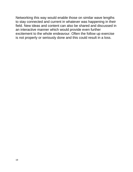Networking this way would enable those on similar wave lengths to stay connected and current in whatever was happening in their field. New ideas and content can also be shared and discussed in an interactive manner which would provide even further excitement to the whole endeavour. Often the follow up exercise is not properly or seriously done and this could result in a loss.